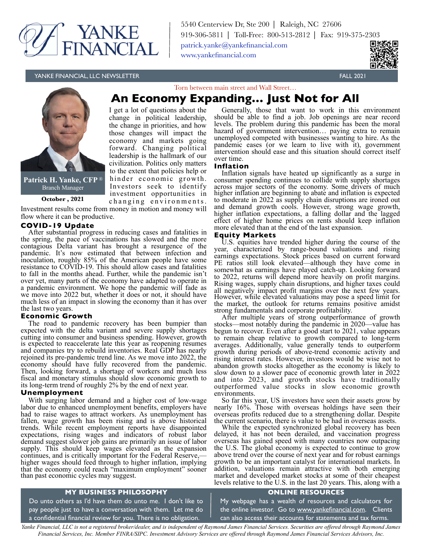

5540 Centerview Dr, Ste 200 ⎜ Raleigh, NC 27606 919-306-5811 | Toll-Free: 800-513-2812 | Fax: 919-375-2303 [patrick.yanke@yankefinancial.com](mailto:?subject=) [www.yankefinancial.com](http://www.yankefinancial.com)

YANKE FINANCIAL, LLC NEWSLETTER FALL 2021





**Patrick H. Yanke, CFP** ® Branch Manager

**October , 2021**

changing environments. Investment results come from money in motion and money will flow where it can be productive.

I get a lot of questions about the change in political leadership, the change in priorities, and how those changes will impact the economy and markets going forward. Changing political leadership is the hallmark of our civilization. Politics only matters to the extent that policies help or hinder economic growth. Investors seek to identify investment opportunities in

# **COVID-19 Update**

After substantial progress in reducing cases and fatalities in the spring, the pace of vaccinations has slowed and the more contagious Delta variant has brought a resurgence of the pandemic. It's now estimated that between infection and inoculation, roughly 85% of the American people have some resistance to COVID-19. This should allow cases and fatalities to fall in the months ahead. Further, while the pandemic isn't over yet, many parts of the economy have adapted to operate in a pandemic environment. We hope the pandemic will fade as we move into 2022 but, whether it does or not, it should have much less of an impact in slowing the economy than it has over the last two years.

# **Economic Growth**

The road to pandemic recovery has been bumpier than expected with the delta variant and severe supply shortages cutting into consumer and business spending. However, growth is expected to reaccelerate late this year as reopening resumes and companies try to rebuild inventories. Real GDP has nearly rejoined its pre-pandemic trend line. As we move into 2022, the economy should have fully recovered from the pandemic. Then, looking forward, a shortage of workers and much less fiscal and monetary stimulus should slow economic growth to its long-term trend of roughly 2% by the end of next year.

# **Unemployment**

With surging labor demand and a higher cost of low-wage labor due to enhanced unemployment benefits, employers have had to raise wages to attract workers. As unemployment has fallen, wage growth has been rising and is above historical trends. While recent employment reports have disappointed expectations, rising wages and indicators of robust labor demand suggest slower job gains are primarily an issue of labor supply. This should keep wages elevated as the expansion continues, and is critically important for the Federal Reserve, higher wages should feed through to higher inflation, implying that the economy could reach "maximum employment" sooner than past economic cycles may suggest.

Generally, those that want to work in this environment should be able to find a job. Job openings are near record levels. The problem during this pandemic has been the moral hazard of government intervention... paying extra to remain unemployed competed with businesses wanting to hire. As the pandemic eases (or we learn to live with it), government intervention should ease and this situation should correct itself over time.

# **Inflation**

Torn between main street and Wall Street… **An Economy Expanding… Just Not for All**

> Inflation signals have heated up significantly as a surge in consumer spending continues to collide with supply shortages across major sectors of the economy. Some drivers of much higher inflation are beginning to abate and inflation is expected to moderate in 2022 as supply chain disruptions are ironed out and demand growth cools. However, strong wage growth, higher inflation expectations, a falling dollar and the lagged effect of higher home prices on rents should keep inflation more elevated than at the end of the last expansion.

# **Equity Markets**

U.S. equities have trended higher during the course of the year, characterized by range-bound valuations and rising earnings expectations. Stock prices based on current forward PE ratios still look elevated—although they have come in somewhat as earnings have played catch-up. Looking forward to 2022, returns will depend more heavily on profit margins. Rising wages, supply chain disruptions, and higher taxes could all negatively impact profit margins over the next few years. However, while elevated valuations may pose a speed limit for the market, the outlook for returns remains positive amidst strong fundamentals and corporate profitability.

After multiple years of strong outperformance of growth stocks—most notably during the pandemic in 2020—value has begun to recover. Even after a good start to 2021, value appears to remain cheap relative to growth compared to long-term averages. Additionally, value generally tends to outperform growth during periods of above-trend economic activity and rising interest rates. However, investors would be wise not to abandon growth stocks altogether as the economy is likely to slow down to a slower pace of economic growth later in 2022 and into 2023, and growth stocks have traditionally outperformed value stocks in slow economic growth environments.

So far this year, US investors have seen their assets grow by nearly 16%. Those with overseas holdings have seen their overseas profits reduced due to a strengthening dollar. Despite

While the expected synchronized global recovery has been delayed, it has not been derailed, and vaccination progress overseas has gained speed with many countries now outpacing the U.S. The global economy is expected to continue to grow above trend over the course of next year and for robust earnings growth to be an important catalyst for international markets. In addition, valuations remain attractive with both emerging market and developed market stocks at some of their cheapest levels relative to the U.S. in the last 20 years. This, along with a

# **MY BUSINESS PHILOSOPHY**

Do unto others as I'd have them do unto me. I don't like to pay people just to have a conversation with them. Let me do a confidential financial review for you. There is no obligation.

### **ONLINE RESOURCES**

My webpage has a wealth of resources and calculators for the online investor. Go to [www.yankefinancial.com](http://www.yankefinancial.com). Clients can also access their accounts for statements and tax forms.

*Yanke Financial, LLC is not a registered broker/dealer, and is independent of Raymond James Financial Services. Securities are offered through Raymond James Financial Services, Inc. Member FINRA/SIPC. Investment Advisory Services are offered through Raymond James Financial Services Advisors, Inc.*